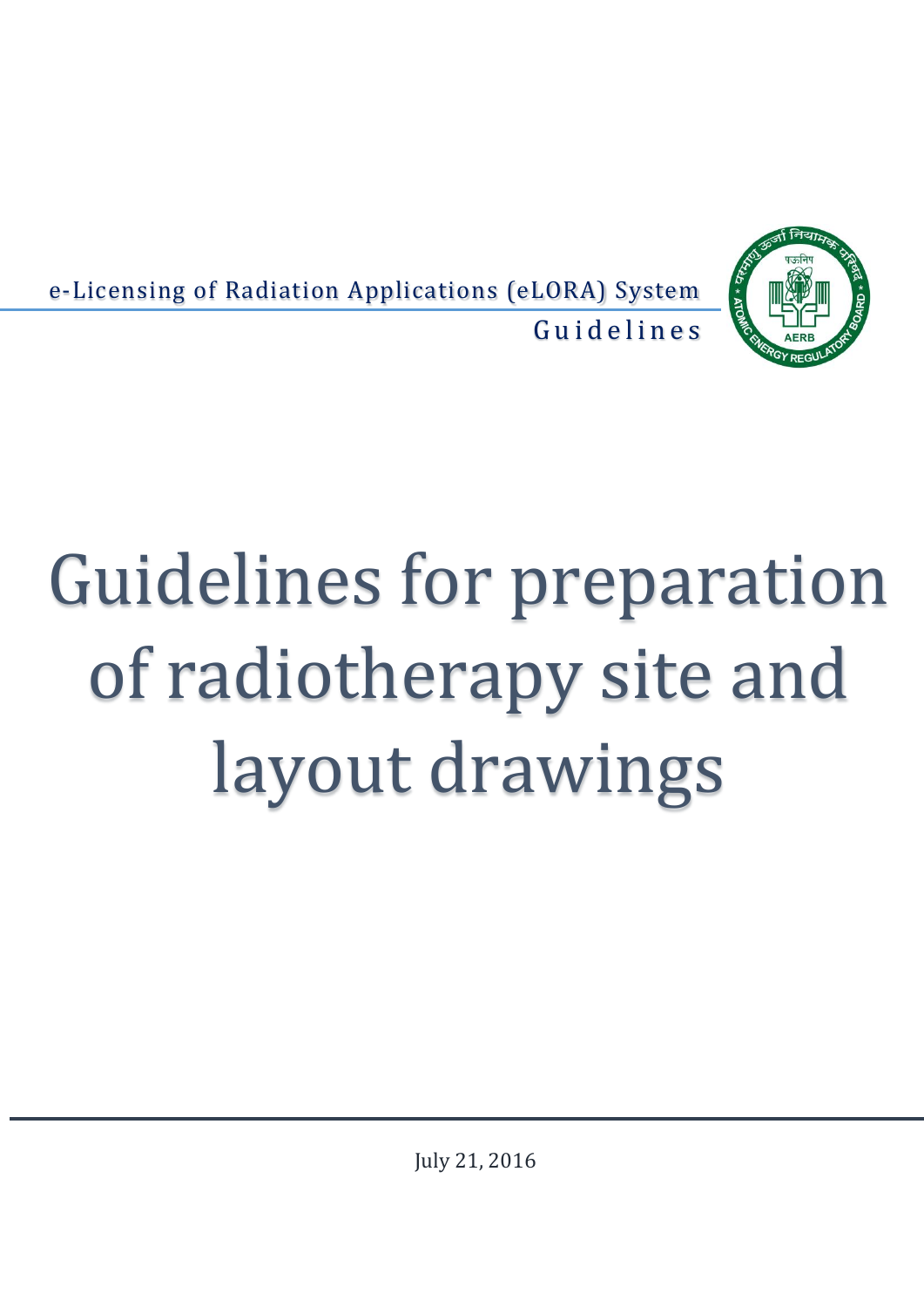

e-Licensing of Radiation Applications (eLORA) System Guidelines

# Guidelines for preparation of radiotherapy site and layout drawings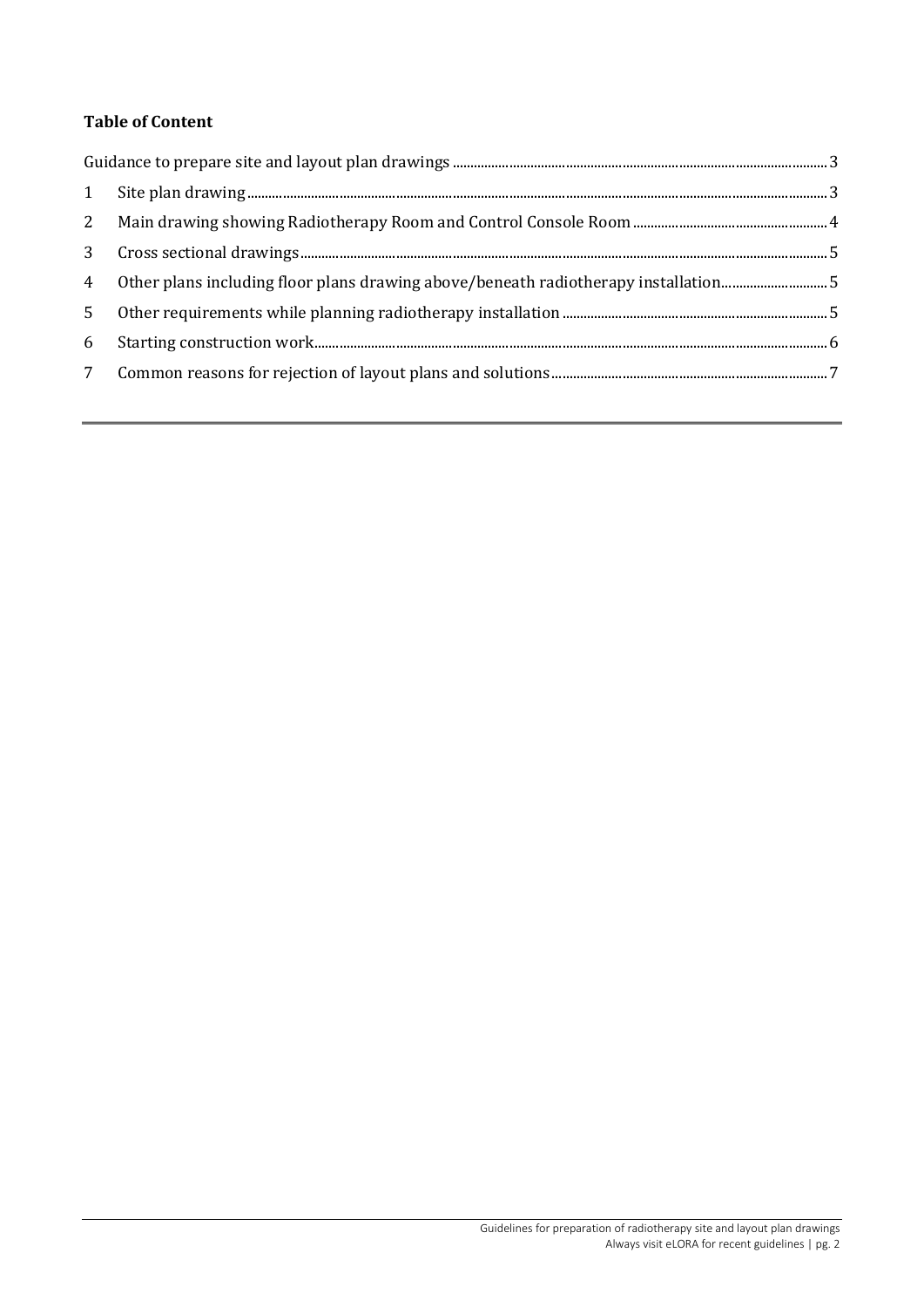# **Table of Content**

| 1              |  |  |
|----------------|--|--|
| 2              |  |  |
| 3              |  |  |
|                |  |  |
| 5 <sup>1</sup> |  |  |
| 6              |  |  |
| 7              |  |  |
|                |  |  |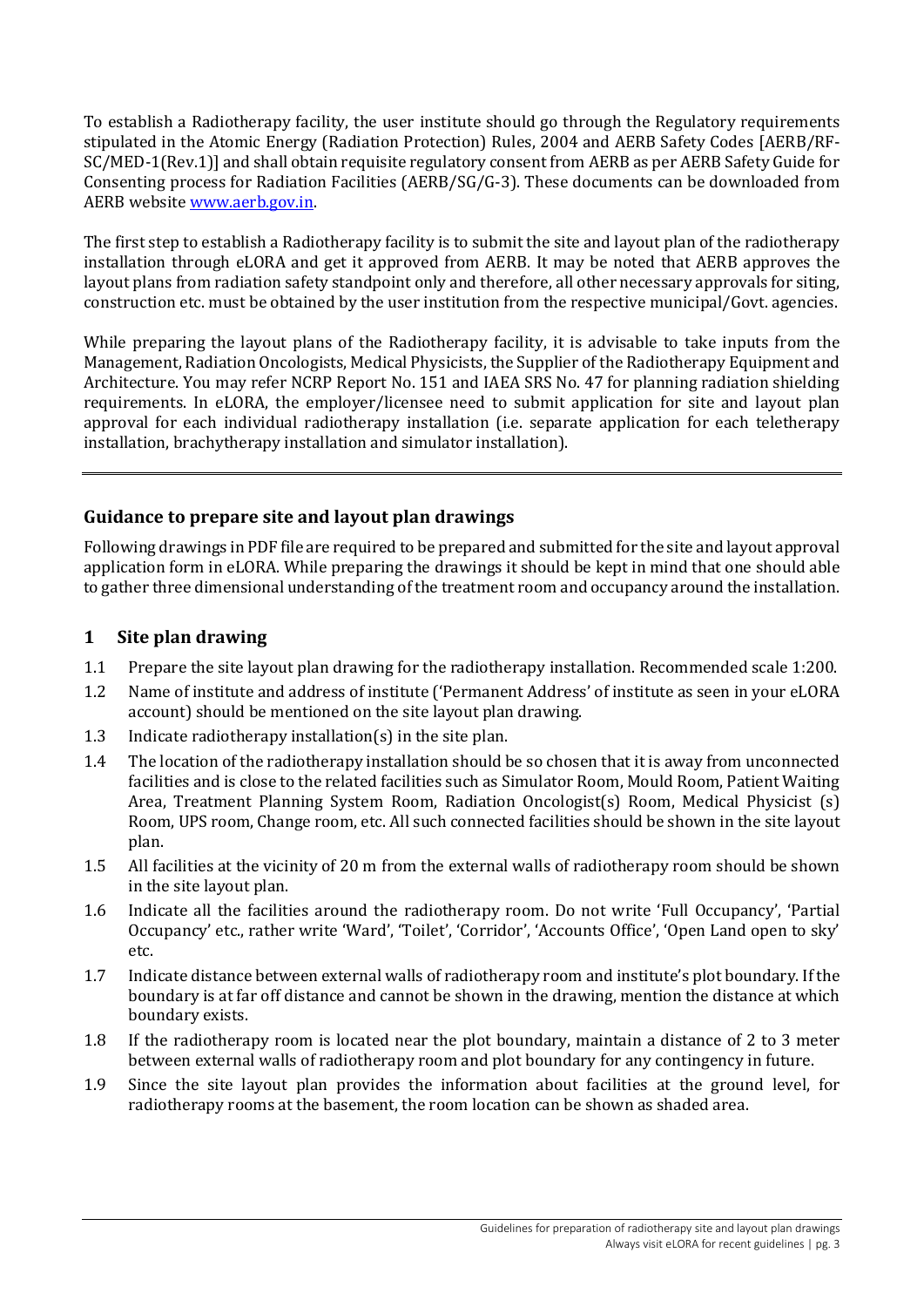To establish a Radiotherapy facility, the user institute should go through the Regulatory requirements stipulated in the Atomic Energy (Radiation Protection) Rules, 2004 and AERB Safety Codes [AERB/RF-SC/MED-1(Rev.1)] and shall obtain requisite regulatory consent from AERB as per AERB Safety Guide for Consenting process for Radiation Facilities (AERB/SG/G-3). These documents can be downloaded from AERB websit[e www.aerb.gov.in.](http://www.aerb.gov.in/)

The first step to establish a Radiotherapy facility is to submit the site and layout plan of the radiotherapy installation through eLORA and get it approved from AERB. It may be noted that AERB approves the layout plans from radiation safety standpoint only and therefore, all other necessary approvals for siting, construction etc. must be obtained by the user institution from the respective municipal/Govt. agencies.

While preparing the layout plans of the Radiotherapy facility, it is advisable to take inputs from the Management, Radiation Oncologists, Medical Physicists, the Supplier of the Radiotherapy Equipment and Architecture. You may refer NCRP Report No. 151 and IAEA SRS No. 47 for planning radiation shielding requirements. In eLORA, the employer/licensee need to submit application for site and layout plan approval for each individual radiotherapy installation (i.e. separate application for each teletherapy installation, brachytherapy installation and simulator installation).

# <span id="page-2-0"></span>**Guidance to prepare site and layout plan drawings**

Following drawings in PDF file are required to be prepared and submitted for the site and layout approval application form in eLORA. While preparing the drawings it should be kept in mind that one should able to gather three dimensional understanding of the treatment room and occupancy around the installation.

## <span id="page-2-1"></span>**1 Site plan drawing**

- 1.1 Prepare the site layout plan drawing for the radiotherapy installation. Recommended scale 1:200.
- 1.2 Name of institute and address of institute ('Permanent Address' of institute as seen in your eLORA account) should be mentioned on the site layout plan drawing.
- 1.3 Indicate radiotherapy installation(s) in the site plan.
- 1.4 The location of the radiotherapy installation should be so chosen that it is away from unconnected facilities and is close to the related facilities such as Simulator Room, Mould Room, Patient Waiting Area, Treatment Planning System Room, Radiation Oncologist(s) Room, Medical Physicist (s) Room, UPS room, Change room, etc. All such connected facilities should be shown in the site layout plan.
- 1.5 All facilities at the vicinity of 20 m from the external walls of radiotherapy room should be shown in the site layout plan.
- 1.6 Indicate all the facilities around the radiotherapy room. Do not write 'Full Occupancy', 'Partial Occupancy' etc., rather write 'Ward', 'Toilet', 'Corridor', 'Accounts Office', 'Open Land open to sky' etc.
- 1.7 Indicate distance between external walls of radiotherapy room and institute's plot boundary. If the boundary is at far off distance and cannot be shown in the drawing, mention the distance at which boundary exists.
- 1.8 If the radiotherapy room is located near the plot boundary, maintain a distance of 2 to 3 meter between external walls of radiotherapy room and plot boundary for any contingency in future.
- 1.9 Since the site layout plan provides the information about facilities at the ground level, for radiotherapy rooms at the basement, the room location can be shown as shaded area.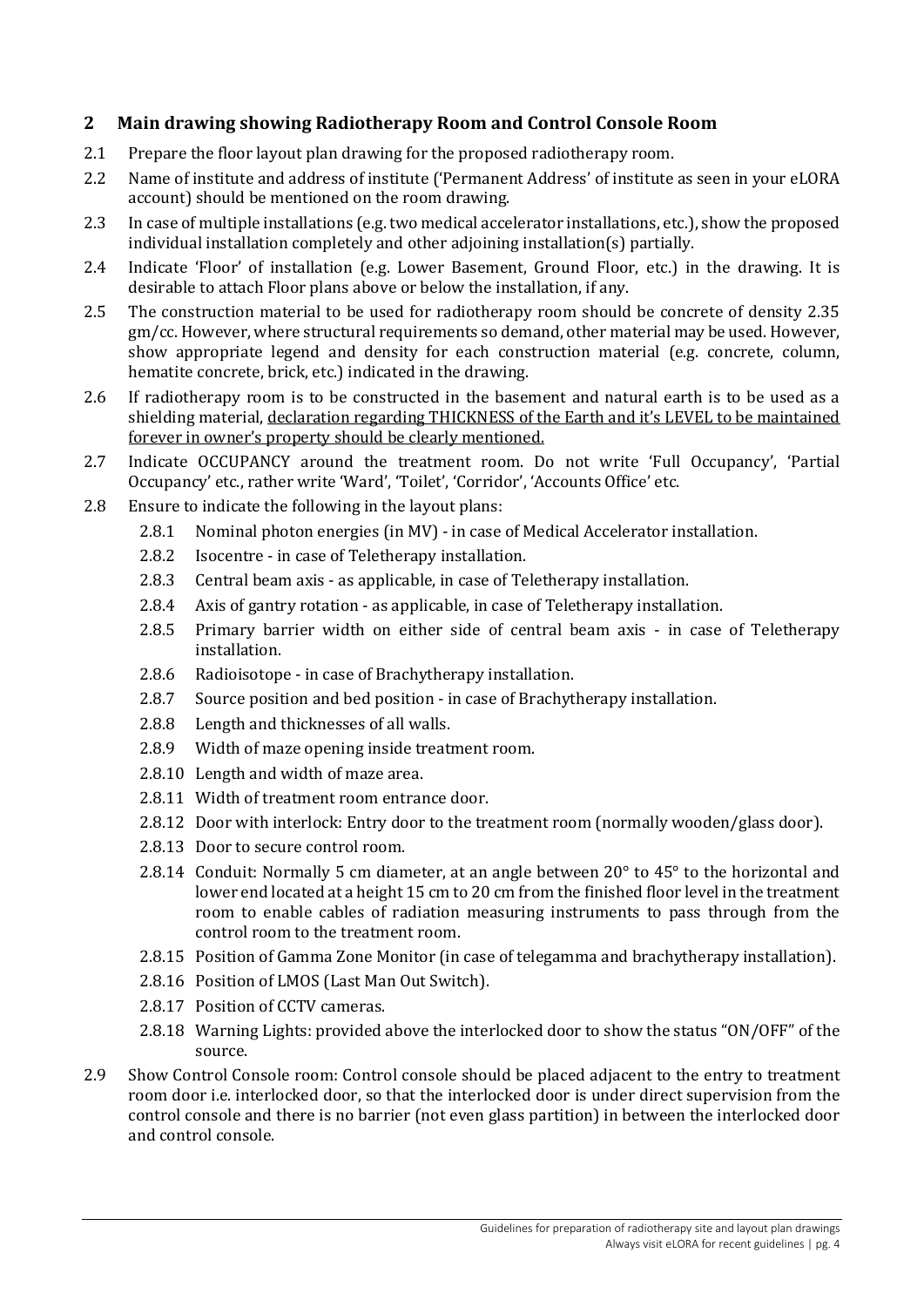# <span id="page-3-0"></span>**2 Main drawing showing Radiotherapy Room and Control Console Room**

- 2.1 Prepare the floor layout plan drawing for the proposed radiotherapy room.
- 2.2 Name of institute and address of institute ('Permanent Address' of institute as seen in your eLORA account) should be mentioned on the room drawing.
- 2.3 In case of multiple installations (e.g. two medical accelerator installations, etc.), show the proposed individual installation completely and other adjoining installation(s) partially.
- 2.4 Indicate 'Floor' of installation (e.g. Lower Basement, Ground Floor, etc.) in the drawing. It is desirable to attach Floor plans above or below the installation, if any.
- 2.5 The construction material to be used for radiotherapy room should be concrete of density 2.35 gm/cc. However, where structural requirements so demand, other material may be used. However, show appropriate legend and density for each construction material (e.g. concrete, column, hematite concrete, brick, etc.) indicated in the drawing.
- 2.6 If radiotherapy room is to be constructed in the basement and natural earth is to be used as a shielding material, declaration regarding THICKNESS of the Earth and it's LEVEL to be maintained forever in owner's property should be clearly mentioned.
- 2.7 Indicate OCCUPANCY around the treatment room. Do not write 'Full Occupancy', 'Partial Occupancy' etc., rather write 'Ward', 'Toilet', 'Corridor', 'Accounts Office' etc.
- 2.8 Ensure to indicate the following in the layout plans:
	- 2.8.1 Nominal photon energies (in MV) in case of Medical Accelerator installation.
	- 2.8.2 Isocentre in case of Teletherapy installation.
	- 2.8.3 Central beam axis as applicable, in case of Teletherapy installation.
	- 2.8.4 Axis of gantry rotation as applicable, in case of Teletherapy installation.
	- 2.8.5 Primary barrier width on either side of central beam axis in case of Teletherapy installation.
	- 2.8.6 Radioisotope in case of Brachytherapy installation.
	- 2.8.7 Source position and bed position in case of Brachytherapy installation.
	- 2.8.8 Length and thicknesses of all walls.
	- 2.8.9 Width of maze opening inside treatment room.
	- 2.8.10 Length and width of maze area.
	- 2.8.11 Width of treatment room entrance door.
	- 2.8.12 Door with interlock: Entry door to the treatment room (normally wooden/glass door).
	- 2.8.13 Door to secure control room.
	- 2.8.14 Conduit: Normally 5 cm diameter, at an angle between  $20^{\circ}$  to  $45^{\circ}$  to the horizontal and lower end located at a height 15 cm to 20 cm from the finished floor level in the treatment room to enable cables of radiation measuring instruments to pass through from the control room to the treatment room.
	- 2.8.15 Position of Gamma Zone Monitor (in case of telegamma and brachytherapy installation).
	- 2.8.16 Position of LMOS (Last Man Out Switch).
	- 2.8.17 Position of CCTV cameras.
	- 2.8.18 Warning Lights: provided above the interlocked door to show the status "ON/OFF" of the source.
- 2.9 Show Control Console room: Control console should be placed adjacent to the entry to treatment room door i.e. interlocked door, so that the interlocked door is under direct supervision from the control console and there is no barrier (not even glass partition) in between the interlocked door and control console.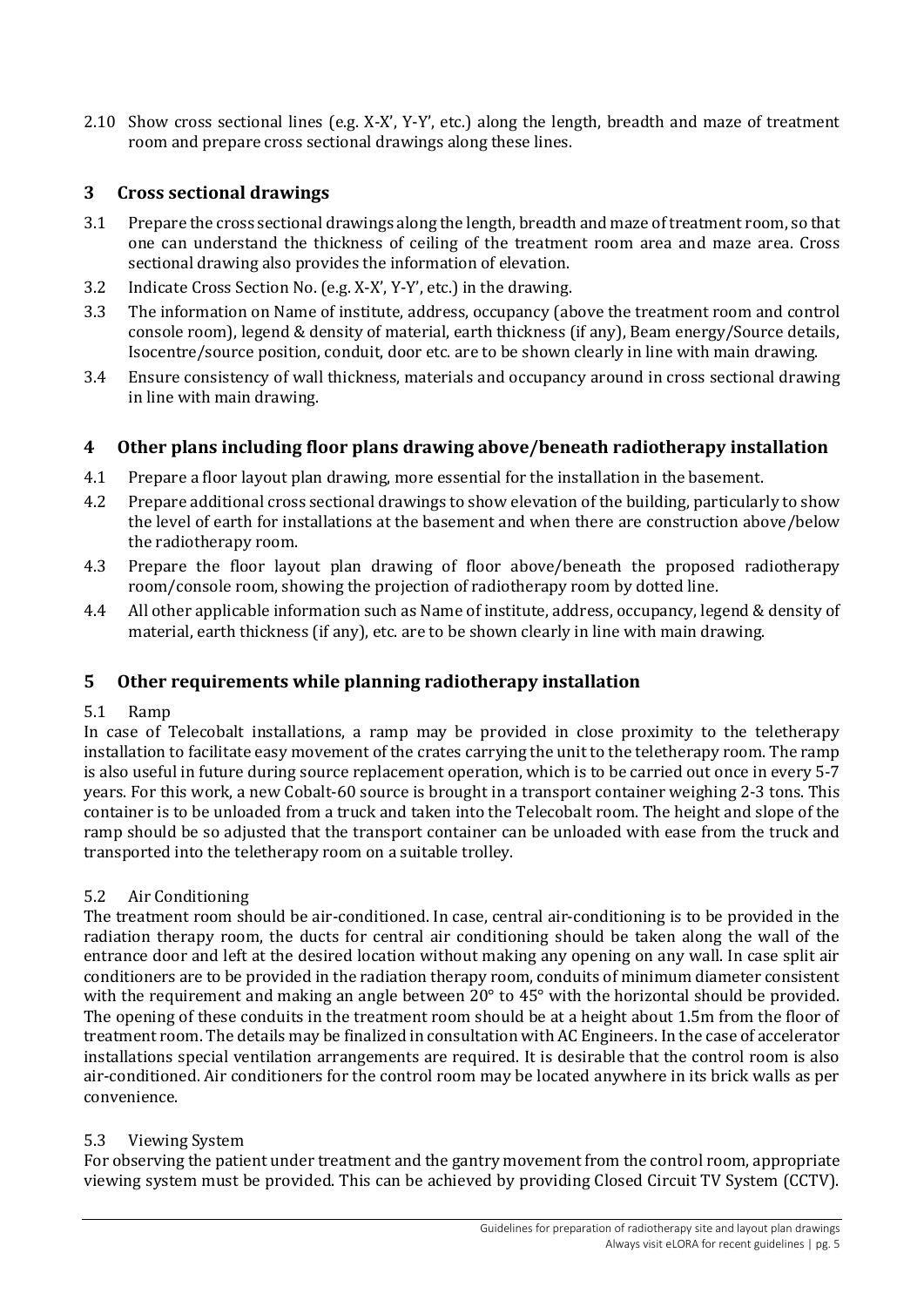2.10 Show cross sectional lines (e.g. X-X', Y-Y', etc.) along the length, breadth and maze of treatment room and prepare cross sectional drawings along these lines.

# <span id="page-4-0"></span>**3 Cross sectional drawings**

- 3.1 Prepare the cross sectional drawings along the length, breadth and maze of treatment room, so that one can understand the thickness of ceiling of the treatment room area and maze area. Cross sectional drawing also provides the information of elevation.
- 3.2 Indicate Cross Section No. (e.g. X-X', Y-Y', etc.) in the drawing.
- 3.3 The information on Name of institute, address, occupancy (above the treatment room and control console room), legend & density of material, earth thickness (if any), Beam energy/Source details, Isocentre/source position, conduit, door etc. are to be shown clearly in line with main drawing.
- 3.4 Ensure consistency of wall thickness, materials and occupancy around in cross sectional drawing in line with main drawing.

## <span id="page-4-1"></span>**4 Other plans including floor plans drawing above/beneath radiotherapy installation**

- 4.1 Prepare a floor layout plan drawing, more essential for the installation in the basement.
- 4.2 Prepare additional cross sectional drawings to show elevation of the building, particularly to show the level of earth for installations at the basement and when there are construction above/below the radiotherapy room.
- 4.3 Prepare the floor layout plan drawing of floor above/beneath the proposed radiotherapy room/console room, showing the projection of radiotherapy room by dotted line.
- 4.4 All other applicable information such as Name of institute, address, occupancy, legend & density of material, earth thickness (if any), etc. are to be shown clearly in line with main drawing.

## <span id="page-4-2"></span>**5 Other requirements while planning radiotherapy installation**

#### 5.1 Ramp

In case of Telecobalt installations, a ramp may be provided in close proximity to the teletherapy installation to facilitate easy movement of the crates carrying the unit to the teletherapy room. The ramp is also useful in future during source replacement operation, which is to be carried out once in every 5-7 years. For this work, a new Cobalt-60 source is brought in a transport container weighing 2-3 tons. This container is to be unloaded from a truck and taken into the Telecobalt room. The height and slope of the ramp should be so adjusted that the transport container can be unloaded with ease from the truck and transported into the teletherapy room on a suitable trolley.

#### 5.2 Air Conditioning

The treatment room should be air-conditioned. In case, central air-conditioning is to be provided in the radiation therapy room, the ducts for central air conditioning should be taken along the wall of the entrance door and left at the desired location without making any opening on any wall. In case split air conditioners are to be provided in the radiation therapy room, conduits of minimum diameter consistent with the requirement and making an angle between 20° to 45° with the horizontal should be provided. The opening of these conduits in the treatment room should be at a height about 1.5m from the floor of treatment room. The details may be finalized in consultation with AC Engineers. In the case of accelerator installations special ventilation arrangements are required. It is desirable that the control room is also air-conditioned. Air conditioners for the control room may be located anywhere in its brick walls as per convenience.

#### 5.3 Viewing System

For observing the patient under treatment and the gantry movement from the control room, appropriate viewing system must be provided. This can be achieved by providing Closed Circuit TV System (CCTV).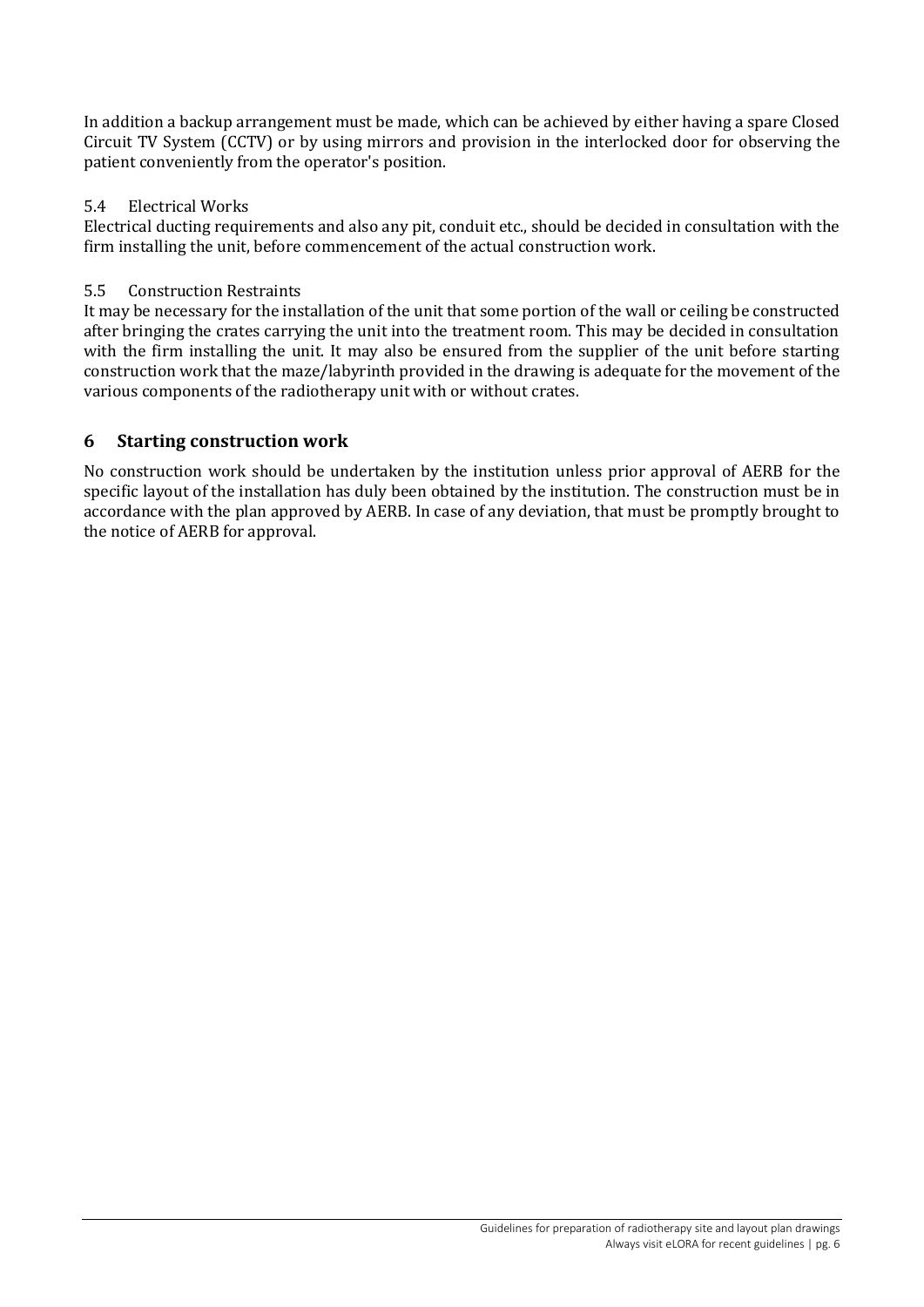In addition a backup arrangement must be made, which can be achieved by either having a spare Closed Circuit TV System (CCTV) or by using mirrors and provision in the interlocked door for observing the patient conveniently from the operator's position.

#### 5.4 Electrical Works

Electrical ducting requirements and also any pit, conduit etc., should be decided in consultation with the firm installing the unit, before commencement of the actual construction work.

#### 5.5 Construction Restraints

It may be necessary for the installation of the unit that some portion of the wall or ceiling be constructed after bringing the crates carrying the unit into the treatment room. This may be decided in consultation with the firm installing the unit. It may also be ensured from the supplier of the unit before starting construction work that the maze/labyrinth provided in the drawing is adequate for the movement of the various components of the radiotherapy unit with or without crates.

# <span id="page-5-0"></span>**6 Starting construction work**

No construction work should be undertaken by the institution unless prior approval of AERB for the specific layout of the installation has duly been obtained by the institution. The construction must be in accordance with the plan approved by AERB. In case of any deviation, that must be promptly brought to the notice of AERB for approval.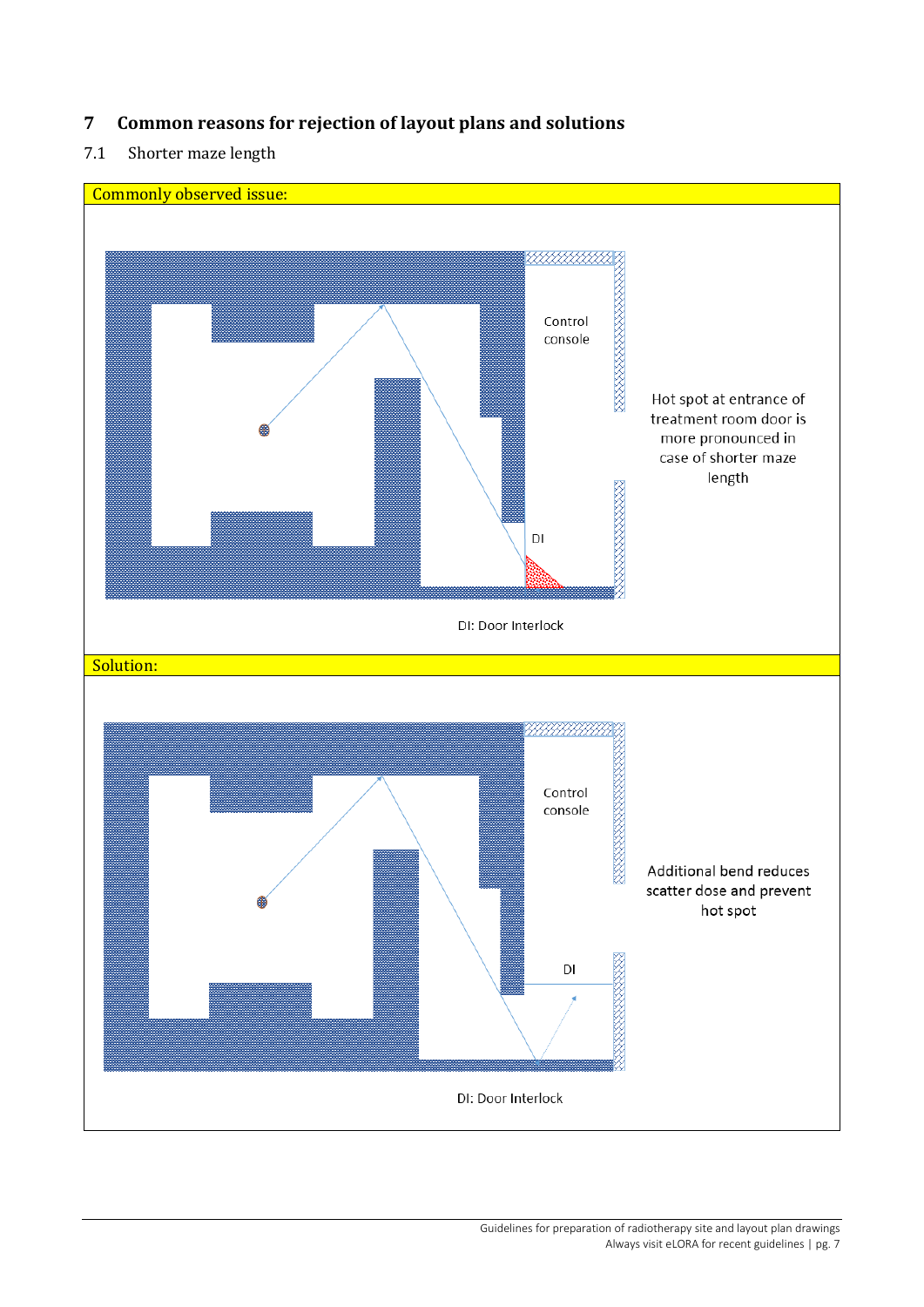# <span id="page-6-0"></span>**7 Common reasons for rejection of layout plans and solutions**

# 7.1 Shorter maze length

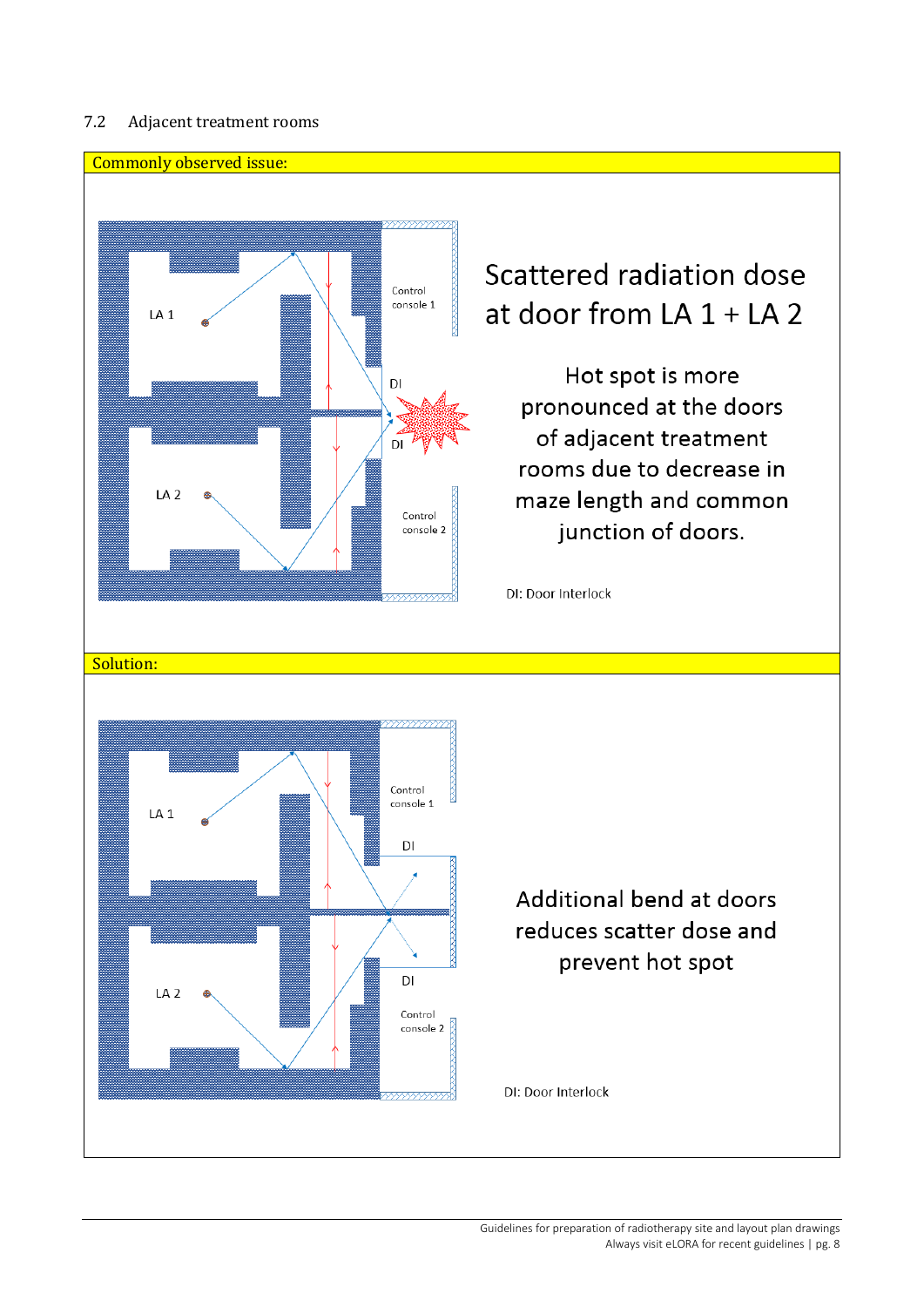#### 7.2 Adjacent treatment rooms



# Scattered radiation dose at door from LA  $1 + LA$  2

Hot spot is more pronounced at the doors of adjacent treatment rooms due to decrease in maze length and common junction of doors.

DI: Door Interlock



# Additional bend at doors reduces scatter dose and prevent hot spot

DI: Door Interlock